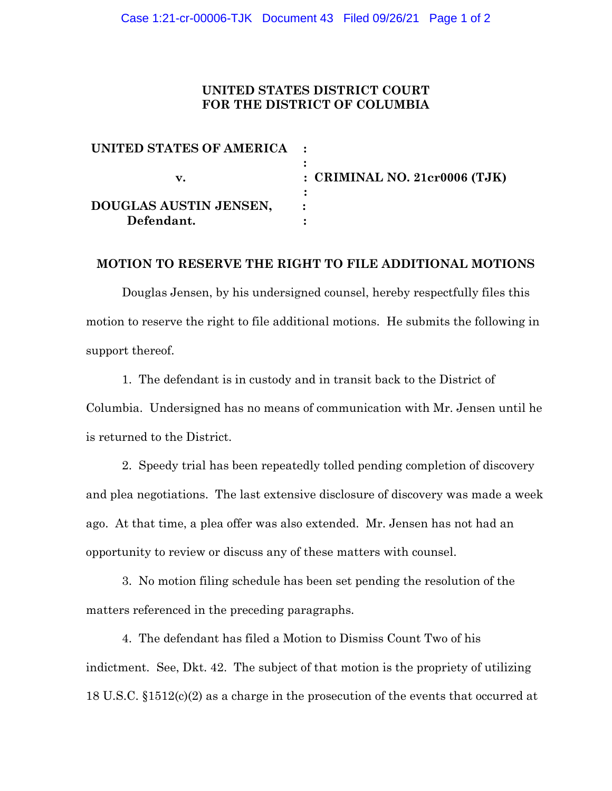# **UNITED STATES DISTRICT COURT FOR THE DISTRICT OF COLUMBIA**

| UNITED STATES OF AMERICA : |                                 |
|----------------------------|---------------------------------|
|                            | : CRIMINAL NO. $21cr0006$ (TJK) |
| DOUGLAS AUSTIN JENSEN,     |                                 |
| Defendant.                 |                                 |

### **MOTION TO RESERVE THE RIGHT TO FILE ADDITIONAL MOTIONS**

Douglas Jensen, by his undersigned counsel, hereby respectfully files this motion to reserve the right to file additional motions. He submits the following in support thereof.

1. The defendant is in custody and in transit back to the District of Columbia. Undersigned has no means of communication with Mr. Jensen until he is returned to the District.

2. Speedy trial has been repeatedly tolled pending completion of discovery and plea negotiations. The last extensive disclosure of discovery was made a week ago. At that time, a plea offer was also extended. Mr. Jensen has not had an opportunity to review or discuss any of these matters with counsel.

3. No motion filing schedule has been set pending the resolution of the matters referenced in the preceding paragraphs.

4. The defendant has filed a Motion to Dismiss Count Two of his indictment. See, Dkt. 42. The subject of that motion is the propriety of utilizing 18 U.S.C. §1512(c)(2) as a charge in the prosecution of the events that occurred at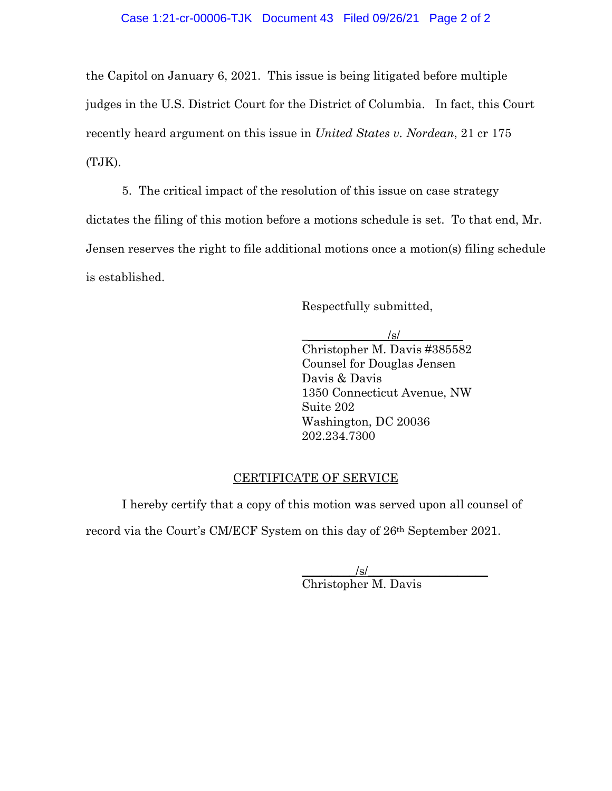the Capitol on January 6, 2021. This issue is being litigated before multiple judges in the U.S. District Court for the District of Columbia. In fact, this Court recently heard argument on this issue in *United States v. Nordean*, 21 cr 175 (TJK).

5. The critical impact of the resolution of this issue on case strategy dictates the filing of this motion before a motions schedule is set. To that end, Mr. Jensen reserves the right to file additional motions once a motion(s) filing schedule is established.

Respectfully submitted,

 $/s/$ 

Christopher M. Davis #385582 Counsel for Douglas Jensen Davis & Davis 1350 Connecticut Avenue, NW Suite 202 Washington, DC 20036 202.234.7300

#### CERTIFICATE OF SERVICE

I hereby certify that a copy of this motion was served upon all counsel of record via the Court's CM/ECF System on this day of 26th September 2021.

> $\sqrt{s}$ / Christopher M. Davis